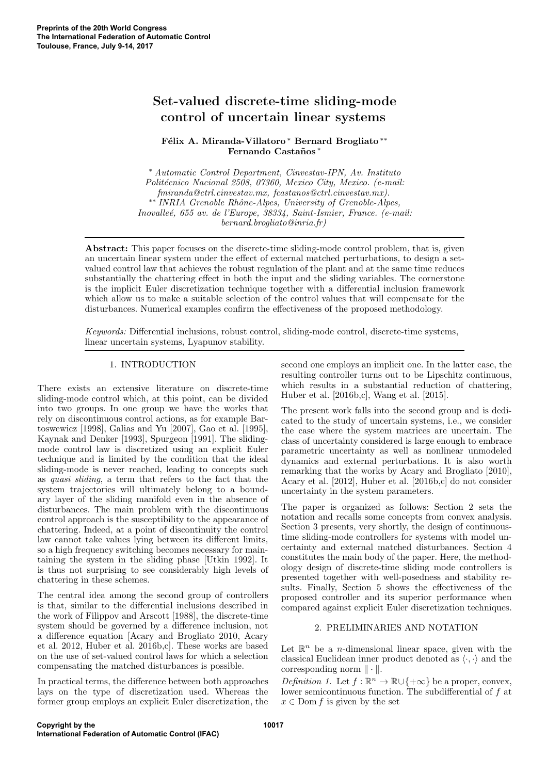# Set-valued discrete-time sliding-mode control of uncertain linear systems

Félix A. Miranda-Villatoro <sup>∗</sup> Bernard Brogliato <sup>∗</sup> \* Fernando Castaños\*

<sup>∗</sup> Automatic Control Department, Cinvestav-IPN, Av. Instituto Politécnico Nacional 2508, 07360, Mexico City, Mexico. (e-mail: fmiranda@ctrl.cinvestav.mx, fcastanos@ctrl.cinvestav.mx). ∗∗ INRIA Grenoble Rhˆone-Alpes, University of Grenoble-Alpes, Inovalle´e, 655 av. de l'Europe, 38334, Saint-Ismier, France. (e-mail: bernard.brogliato@inria.fr)

Abstract: This paper focuses on the discrete-time sliding-mode control problem, that is, given an uncertain linear system under the effect of external matched perturbations, to design a setvalued control law that achieves the robust regulation of the plant and at the same time reduces substantially the chattering effect in both the input and the sliding variables. The cornerstone is the implicit Euler discretization technique together with a differential inclusion framework which allow us to make a suitable selection of the control values that will compensate for the disturbances. Numerical examples confirm the effectiveness of the proposed methodology.

Keywords: Differential inclusions, robust control, sliding-mode control, discrete-time systems, linear uncertain systems, Lyapunov stability.

## 1. INTRODUCTION

There exists an extensive literature on discrete-time sliding-mode control which, at this point, can be divided into two groups. In one group we have the works that rely on discontinuous control actions, as for example Bartoswewicz [1998], Galias and Yu [2007], Gao et al. [1995], Kaynak and Denker [1993], Spurgeon [1991]. The slidingmode control law is discretized using an explicit Euler technique and is limited by the condition that the ideal sliding-mode is never reached, leading to concepts such as quasi sliding, a term that refers to the fact that the system trajectories will ultimately belong to a boundary layer of the sliding manifold even in the absence of disturbances. The main problem with the discontinuous control approach is the susceptibility to the appearance of chattering. Indeed, at a point of discontinuity the control law cannot take values lying between its different limits, so a high frequency switching becomes necessary for maintaining the system in the sliding phase [Utkin 1992]. It is thus not surprising to see considerably high levels of chattering in these schemes.

The central idea among the second group of controllers is that, similar to the differential inclusions described in the work of Filippov and Arscott [1988], the discrete-time system should be governed by a difference inclusion, not a difference equation [Acary and Brogliato 2010, Acary et al. 2012, Huber et al. 2016b,c]. These works are based on the use of set-valued control laws for which a selection compensating the matched disturbances is possible.

In practical terms, the difference between both approaches lays on the type of discretization used. Whereas the former group employs an explicit Euler discretization, the

second one employs an implicit one. In the latter case, the resulting controller turns out to be Lipschitz continuous, which results in a substantial reduction of chattering, Huber et al. [2016b,c], Wang et al. [2015].

The present work falls into the second group and is dedicated to the study of uncertain systems, i.e., we consider the case where the system matrices are uncertain. The class of uncertainty considered is large enough to embrace parametric uncertainty as well as nonlinear unmodeled dynamics and external perturbations. It is also worth remarking that the works by Acary and Brogliato [2010], Acary et al. [2012], Huber et al. [2016b,c] do not consider uncertainty in the system parameters.

The paper is organized as follows: Section 2 sets the notation and recalls some concepts from convex analysis. Section 3 presents, very shortly, the design of continuoustime sliding-mode controllers for systems with model uncertainty and external matched disturbances. Section 4 constitutes the main body of the paper. Here, the methodology design of discrete-time sliding mode controllers is presented together with well-posedness and stability results. Finally, Section 5 shows the effectiveness of the proposed controller and its superior performance when compared against explicit Euler discretization techniques.

## 2. PRELIMINARIES AND NOTATION

Let  $\mathbb{R}^n$  be a *n*-dimensional linear space, given with the classical Euclidean inner product denoted as  $\langle \cdot, \cdot \rangle$  and the corresponding norm  $\|\cdot\|$ .

Definition 1. Let  $f : \mathbb{R}^n \to \mathbb{R} \cup \{+\infty\}$  be a proper, convex, lower semicontinuous function. The subdifferential of f at  $x \in \text{Dom } f$  is given by the set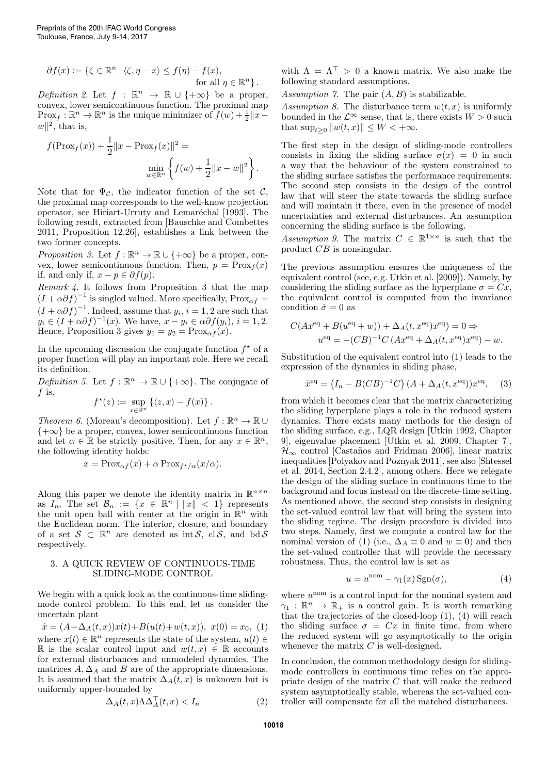$$
\partial f(x) := \{ \zeta \in \mathbb{R}^n \mid \langle \zeta, \eta - x \rangle \le f(\eta) - f(x),
$$
  
for all  $\eta \in \mathbb{R}^n \}.$ 

Definition 2. Let  $f : \mathbb{R}^n \to \mathbb{R} \cup \{+\infty\}$  be a proper, convex, lower semicontinuous function. The proximal map  $\text{Prox}_f : \mathbb{R}^n \to \mathbb{R}^n$  is the unique minimizer of  $f(w) + \frac{1}{2} ||x - \frac{1}{2}||^2$  $w\Vert^2$ , that is,

$$
f(\text{Prox}_f(x)) + \frac{1}{2} ||x - \text{Prox}_f(x)||^2 =
$$
  

$$
\min_{w \in \mathbb{R}^n} \left\{ f(w) + \frac{1}{2} ||x - w||^2 \right\}.
$$

Note that for  $\Psi_{\mathcal{C}}$ , the indicator function of the set  $\mathcal{C}$ , the proximal map corresponds to the well-know projection operator, see Hiriart-Urruty and Lemaréchal [1993]. The following result, extracted from [Bauschke and Combettes 2011, Proposition 12.26], establishes a link between the two former concepts.

Proposition 3. Let  $f : \mathbb{R}^n \to \mathbb{R} \cup \{+\infty\}$  be a proper, convex, lower semicontinuous function. Then,  $p = \text{Prox}_f(x)$ if, and only if,  $x - p \in \partial f(p)$ .

Remark 4. It follows from Proposition 3 that the map  $(I + \alpha \partial f)^{-1}$  is singled valued. More specifically, Prox<sub>αf</sub> =  $(I + \alpha \partial f)^{-1}$ . Indeed, assume that  $y_i$ ,  $i = 1, 2$  are such that  $y_i \in (I + \alpha \partial f)^{-1}(x)$ . We have,  $x - y_i \in \alpha \partial f(y_i)$ ,  $i = 1, 2$ . Hence, Proposition 3 gives  $y_1 = y_2 = \text{Prox}_{\alpha f}(x)$ .

In the upcoming discussion the conjugate function  $f^*$  of a proper function will play an important role. Here we recall its definition.

Definition 5. Let  $f : \mathbb{R}^n \to \mathbb{R} \cup \{+\infty\}$ . The conjugate of  $f$  is,

$$
f^{\star}(z) := \sup_{x \in \mathbb{R}^n} \left\{ \langle z, x \rangle - f(x) \right\}.
$$

Theorem 6. (Moreau's decomposition). Let  $f : \mathbb{R}^n \to \mathbb{R} \cup$  ${+\infty}$  be a proper, convex, lower semicontinuous function and let  $\alpha \in \mathbb{R}$  be strictly positive. Then, for any  $x \in \mathbb{R}^n$ , the following identity holds:

$$
x = \text{Prox}_{\alpha f}(x) + \alpha \text{Prox}_{f^{\star}/\alpha}(x/\alpha).
$$

Along this paper we denote the identity matrix in  $\mathbb{R}^{n \times n}$ as  $I_n$ . The set  $\mathcal{B}_n := \{x \in \mathbb{R}^n \mid ||x|| < 1\}$  represents the unit open ball with center at the origin in  $\mathbb{R}^n$  with the Euclidean norm. The interior, closure, and boundary of a set  $S \subset \mathbb{R}^n$  are denoted as int S, cl S, and bd S respectively.

## 3. A QUICK REVIEW OF CONTINUOUS-TIME SLIDING-MODE CONTROL

We begin with a quick look at the continuous-time slidingmode control problem. To this end, let us consider the uncertain plant

 $\dot{x} = (A + \Delta_A(t, x))x(t) + B(u(t) + w(t, x)), x(0) = x_0, (1)$ where  $x(t) \in \mathbb{R}^n$  represents the state of the system,  $u(t) \in \mathbb{R}^n$ R is the scalar control input and  $w(t, x) \in \mathbb{R}$  accounts for external disturbances and unmodeled dynamics. The matrices  $A, \Delta_A$  and  $B$  are of the appropriate dimensions. It is assumed that the matrix  $\Delta_A(t, x)$  is unknown but is uniformly upper-bounded by

$$
\Delta_A(t, x) \Lambda \Delta_A^\top(t, x) < I_n \tag{2}
$$

with  $\Lambda = \Lambda^{\top} > 0$  a known matrix. We also make the following standard assumptions.

Assumption 7. The pair  $(A, B)$  is stabilizable.

Assumption 8. The disturbance term  $w(t, x)$  is uniformly bounded in the  $\mathcal{L}^{\infty}$  sense, that is, there exists  $W > 0$  such that  $\sup_{t>0} ||w(t, x)|| \leq W < +\infty$ .

The first step in the design of sliding-mode controllers consists in fixing the sliding surface  $\sigma(x) = 0$  in such a way that the behaviour of the system constrained to the sliding surface satisfies the performance requirements. The second step consists in the design of the control law that will steer the state towards the sliding surface and will maintain it there, even in the presence of model uncertainties and external disturbances. An assumption concerning the sliding surface is the following.

Assumption 9. The matrix  $C \in \mathbb{R}^{1 \times n}$  is such that the product CB is nonsingular.

The previous assumption ensures the uniqueness of the equivalent control (see, e.g. Utkin et al. [2009]). Namely, by considering the sliding surface as the hyperplane  $\sigma = Cx$ , the equivalent control is computed from the invariance condition  $\dot{\sigma} = 0$  as

$$
C(Ax^{eq} + B(u^{eq} + w)) + \Delta_A(t, x^{eq})x^{eq}) = 0 \Rightarrow
$$
  

$$
u^{eq} = -(CB)^{-1}C(Ax^{eq} + \Delta_A(t, x^{eq})x^{eq}) - w.
$$

Substitution of the equivalent control into (1) leads to the expression of the dynamics in sliding phase,

$$
\dot{x}^{\text{eq}} = (I_n - B(CB)^{-1}C) (A + \Delta_A(t, x^{\text{eq}}))x^{\text{eq}}, \quad (3)
$$

from which it becomes clear that the matrix characterizing the sliding hyperplane plays a role in the reduced system dynamics. There exists many methods for the design of the sliding surface, e.g., LQR design [Utkin 1992, Chapter 9], eigenvalue placement [Utkin et al. 2009, Chapter 7],  $\mathcal{H}_{\infty}$  control [Castaños and Fridman 2006], linear matrix inequalities [Polyakov and Poznyak 2011], see also [Shtessel et al. 2014, Section 2.4.2], among others. Here we relegate the design of the sliding surface in continuous time to the background and focus instead on the discrete-time setting. As mentioned above, the second step consists in designing the set-valued control law that will bring the system into the sliding regime. The design procedure is divided into two steps. Namely, first we compute a control law for the nominal version of (1) (i.e.,  $\Delta_A \equiv 0$  and  $w \equiv 0$ ) and then the set-valued controller that will provide the necessary robustness. Thus, the control law is set as

$$
u = u^{\text{nom}} - \gamma_1(x) \operatorname{Sgn}(\sigma), \tag{4}
$$

where  $u^{\text{nom}}$  is a control input for the nominal system and  $\gamma_1 : \mathbb{R}^n \to \mathbb{R}_+$  is a control gain. It is worth remarking that the trajectories of the closed-loop (1), (4) will reach the sliding surface  $\sigma = Cx$  in finite time, from where the reduced system will go asymptotically to the origin whenever the matrix  $C$  is well-designed.

In conclusion, the common methodology design for slidingmode controllers in continuous time relies on the appropriate design of the matrix  $C$  that will make the reduced system asymptotically stable, whereas the set-valued controller will compensate for all the matched disturbances.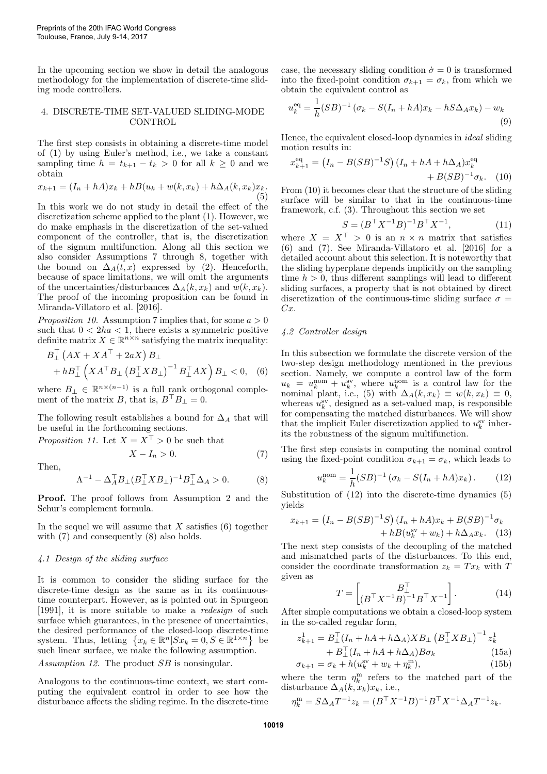In the upcoming section we show in detail the analogous methodology for the implementation of discrete-time sliding mode controllers.

#### 4. DISCRETE-TIME SET-VALUED SLIDING-MODE **CONTROL**

The first step consists in obtaining a discrete-time model of (1) by using Euler's method, i.e., we take a constant sampling time  $h = t_{k+1} - t_k > 0$  for all  $k \geq 0$  and we obtain

$$
x_{k+1} = (I_n + hA)x_k + hB(u_k + w(k, x_k) + h\Delta_A(k, x_k)x_k.
$$
  
(5)

In this work we do not study in detail the effect of the discretization scheme applied to the plant (1). However, we do make emphasis in the discretization of the set-valued component of the controller, that is, the discretization of the signum multifunction. Along all this section we also consider Assumptions 7 through 8, together with the bound on  $\Delta_A(t, x)$  expressed by (2). Henceforth, because of space limitations, we will omit the arguments of the uncertainties/disturbances  $\Delta_A(k, x_k)$  and  $w(k, x_k)$ . The proof of the incoming proposition can be found in Miranda-Villatoro et al. [2016].

*Proposition 10.* Assumption 7 implies that, for some  $a > 0$ such that  $0 < 2ha < 1$ , there exists a symmetric positive definite matrix  $X \in \mathbb{R}^{n \times n}$  satisfying the matrix inequality:

$$
B_{\perp}^{\top} (AX + XA^{\top} + 2aX) B_{\perp}
$$
  
+ 
$$
hB_{\perp}^{\top} (XA^{\top}B_{\perp} (B_{\perp}^{\top}XB_{\perp})^{-1} B_{\perp}^{\top}AX) B_{\perp} < 0, \quad (6)
$$

where  $B_{\perp} \in \mathbb{R}^{n \times (n-1)}$  is a full rank orthogonal complement of the matrix B, that is,  $B^{\top}B_{\perp} = 0$ .

The following result establishes a bound for  $\Delta_A$  that will be useful in the forthcoming sections.

*Proposition 11.* Let  $X = X^{\top} > 0$  be such that

Then,

$$
\Lambda^{-1} - \Delta_A^\top B_\perp (B_\perp^\top X B_\perp)^{-1} B_\perp^\top \Delta_A > 0. \tag{8}
$$

 $X - I_n > 0.$  (7)

Proof. The proof follows from Assumption 2 and the Schur's complement formula.

In the sequel we will assume that  $X$  satisfies  $(6)$  together with  $(7)$  and consequently  $(8)$  also holds.

#### 4.1 Design of the sliding surface

It is common to consider the sliding surface for the discrete-time design as the same as in its continuoustime counterpart. However, as is pointed out in Spurgeon [1991], it is more suitable to make a redesign of such surface which guarantees, in the presence of uncertainties, the desired performance of the closed-loop discrete-time system. Thus, letting  $\{x_k \in \mathbb{R}^n | Sx_k = 0, S \in \mathbb{R}^{1 \times n}\}\$  be such linear surface, we make the following assumption.

Assumption 12. The product SB is nonsingular.

Analogous to the continuous-time context, we start computing the equivalent control in order to see how the disturbance affects the sliding regime. In the discrete-time case, the necessary sliding condition  $\dot{\sigma} = 0$  is transformed into the fixed-point condition  $\sigma_{k+1} = \sigma_k$ , from which we obtain the equivalent control as

$$
u_k^{\text{eq}} = \frac{1}{h}(SB)^{-1} (\sigma_k - S(I_n + hA)x_k - hS\Delta_A x_k) - w_k
$$
\n(9)

Hence, the equivalent closed-loop dynamics in ideal sliding motion results in:

$$
x_{k+1}^{\text{eq}} = (I_n - B(SB)^{-1}S) (I_n + hA + h\Delta_A) x_k^{\text{eq}} + B(SB)^{-1} \sigma_k.
$$
 (10)

From (10) it becomes clear that the structure of the sliding surface will be similar to that in the continuous-time framework, c.f. (3). Throughout this section we set

$$
S = (B^{\top} X^{-1} B)^{-1} B^{\top} X^{-1}, \tag{11}
$$

where  $X = X^{\top} > 0$  is an  $n \times n$  matrix that satisfies (6) and (7). See Miranda-Villatoro et al. [2016] for a detailed account about this selection. It is noteworthy that the sliding hyperplane depends implicitly on the sampling time  $h > 0$ , thus different samplings will lead to different sliding surfaces, a property that is not obtained by direct discretization of the continuous-time sliding surface  $\sigma =$ Cx.

#### 4.2 Controller design

In this subsection we formulate the discrete version of the two-step design methodology mentioned in the previous section. Namely, we compute a control law of the form  $u_k = u_k^{\text{nom}} + u_k^{\text{sv}}, \text{ where } u_k^{\text{nom}} \text{ is a control law for the}$ nominal plant, i.e., (5) with  $\Delta_A(k, x_k) \equiv w(k, x_k) \equiv 0$ , whereas  $u_k^{\rm sv}$ , designed as a set-valued map, is responsible for compensating the matched disturbances. We will show that the implicit Euler discretization applied to  $u_k^{\rm sv}$  inherits the robustness of the signum multifunction.

The first step consists in computing the nominal control using the fixed-point condition  $\sigma_{k+1} = \sigma_k$ , which leads to

$$
u_k^{\text{nom}} = \frac{1}{h}(SB)^{-1} (\sigma_k - S(I_n + hA)x_k).
$$
 (12)

Substitution of (12) into the discrete-time dynamics (5) yields

$$
x_{k+1} = (I_n - B(SB)^{-1}S)(I_n + hA)x_k + B(SB)^{-1}\sigma_k + hB(u_k^{sv} + w_k) + h\Delta_A x_k.
$$
 (13)

The next step consists of the decoupling of the matched and mismatched parts of the disturbances. To this end, consider the coordinate transformation  $z_k = Tx_k$  with T given as

$$
T = \begin{bmatrix} B_{\perp}^{\top} & \cdots & \cdots & \cdots \\ (B^{\top} X^{-1} B)^{-1} B^{\top} X^{-1} & \cdots & \cdots & \cdots \end{bmatrix} . \tag{14}
$$

After simple computations we obtain a closed-loop system in the so-called regular form,

$$
z_{k+1}^1 = B_\perp^\top (I_n + hA + h\Delta_A) X B_\perp (B_\perp^\top X B_\perp)^{-1} z_k^1
$$
  
+ 
$$
B_\perp^\top (I_n + hA + h\Delta_A) B \sigma_k
$$
 (15a)

$$
\sigma_{k+1} = \sigma_k + h(u_k^{\text{sv}} + w_k + \eta_k^{\text{m}}),\tag{15b}
$$

where the term  $\eta_k^m$  refers to the matched part of the disturbance  $\Delta_A(k, x_k)x_k$ , i.e.,

$$
\eta_k^{\mathbf{m}} = S\Delta_A T^{-1} z_k = (B^{\top} X^{-1} B)^{-1} B^{\top} X^{-1} \Delta_A T^{-1} z_k.
$$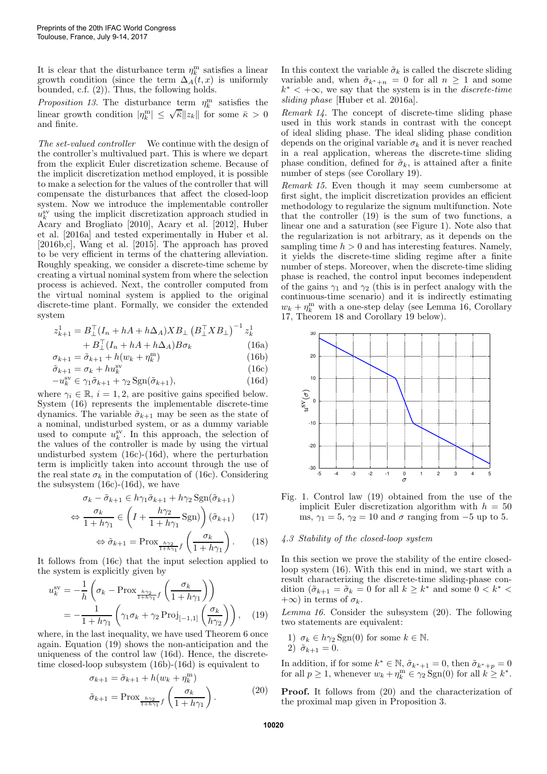It is clear that the disturbance term  $\eta_k^{\text{m}}$  satisfies a linear growth condition (since the term  $\Delta_A(t, x)$  is uniformly bounded, c.f. (2)). Thus, the following holds.

Proposition 13. The disturbance term  $\eta_k^m$  satisfies the linear growth condition  $|\eta_k^m| \leq \sqrt{\overline{\kappa}} \|z_k\|$  for some  $\overline{\kappa} > 0$ and finite.

The set-valued controller We continue with the design of the controller's multivalued part. This is where we depart from the explicit Euler discretization scheme. Because of the implicit discretization method employed, it is possible to make a selection for the values of the controller that will compensate the disturbances that affect the closed-loop system. Now we introduce the implementable controller  $u_k^{\rm sv}$  using the implicit discretization approach studied in Acary and Brogliato [2010], Acary et al. [2012], Huber et al. [2016a] and tested experimentally in Huber et al. [2016b,c], Wang et al. [2015]. The approach has proved to be very efficient in terms of the chattering alleviation. Roughly speaking, we consider a discrete-time scheme by creating a virtual nominal system from where the selection process is achieved. Next, the controller computed from the virtual nominal system is applied to the original discrete-time plant. Formally, we consider the extended system

$$
z_{k+1}^1 = B_\perp^\top (I_n + hA + h\Delta_A) X B_\perp \left( B_\perp^\top X B_\perp \right)^{-1} z_k^1 + B_\perp^\top (I_n + hA + h\Delta_A) B \sigma_k
$$
 (16a)

$$
+ B_{\perp}^{\perp} (I_n + hA + h\Delta_A) B \sigma_k \tag{16a}
$$
  

$$
\sigma_{k+1} = \tilde{\sigma}_{k+1} + h(w_k + \eta_k^m) \tag{16b}
$$

$$
\tilde{\sigma}_{k+1} = \sigma_{k+1} + n(\omega_k + \eta_k)
$$
\n
$$
\tilde{\sigma}_{k+1} = \sigma_k + hu_k^{sv}
$$
\n(16c)

$$
-u_k^{\text{sv}} \in \gamma_1 \tilde{\sigma}_{k+1} + \gamma_2 \operatorname{Sgn}(\tilde{\sigma}_{k+1}), \tag{16d}
$$

where  $\gamma_i \in \mathbb{R}$ ,  $i = 1, 2$ , are positive gains specified below. System (16) represents the implementable discrete-time dynamics. The variable  $\tilde{\sigma}_{k+1}$  may be seen as the state of a nominal, undisturbed system, or as a dummy variable used to compute  $u_k^{\text{sv}}$ . In this approach, the selection of the values of the controller is made by using the virtual undisturbed system (16c)-(16d), where the perturbation term is implicitly taken into account through the use of the real state  $\sigma_k$  in the computation of (16c). Considering the subsystem (16c)-(16d), we have

$$
\sigma_k - \tilde{\sigma}_{k+1} \in h\gamma_1 \tilde{\sigma}_{k+1} + h\gamma_2 \operatorname{Sgn}(\tilde{\sigma}_{k+1})
$$

$$
\Leftrightarrow \frac{\sigma_k}{1 + h\gamma_1} \in \left( I + \frac{h\gamma_2}{1 + h\gamma_1} \operatorname{Sgn} \right) \left( \tilde{\sigma}_{k+1} \right) \tag{17}
$$

$$
\Leftrightarrow \tilde{\sigma}_{k+1} = \text{Prox}_{\frac{h\gamma_2}{1+h\gamma_1}f} \left(\frac{\sigma_k}{1+h\gamma_1}\right). \tag{18}
$$

It follows from (16c) that the input selection applied to the system is explicitly given by

$$
u_k^{\text{sv}} = -\frac{1}{h} \left( \sigma_k - \text{Prox}_{\frac{h\gamma_2}{1+h\gamma_1} f} \left( \frac{\sigma_k}{1+h\gamma_1} \right) \right)
$$
  
= 
$$
-\frac{1}{1+h\gamma_1} \left( \gamma_1 \sigma_k + \gamma_2 \text{Proj}_{[-1,1]} \left( \frac{\sigma_k}{h\gamma_2} \right) \right), \quad (19)
$$

where, in the last inequality, we have used Theorem 6 once again. Equation (19) shows the non-anticipation and the uniqueness of the control law (16d). Hence, the discretetime closed-loop subsystem (16b)-(16d) is equivalent to

$$
\sigma_{k+1} = \tilde{\sigma}_{k+1} + h(w_k + \eta_k^m)
$$

$$
\tilde{\sigma}_{k+1} = \text{Prox}_{\frac{h\gamma_2}{1+h\gamma_1}f} \left(\frac{\sigma_k}{1+h\gamma_1}\right). \tag{20}
$$

In this context the variable  $\tilde{\sigma}_k$  is called the discrete sliding variable and, when  $\tilde{\sigma}_{k^*+n} = 0$  for all  $n \geq 1$  and some  $k^* < +\infty$ , we say that the system is in the *discrete-time* sliding phase [Huber et al. 2016a].

Remark 14. The concept of discrete-time sliding phase used in this work stands in contrast with the concept of ideal sliding phase. The ideal sliding phase condition depends on the original variable  $\sigma_k$  and it is never reached in a real application, whereas the discrete-time sliding phase condition, defined for  $\tilde{\sigma}_k$ , is attained after a finite number of steps (see Corollary 19).

Remark 15. Even though it may seem cumbersome at first sight, the implicit discretization provides an efficient methodology to regularize the signum multifunction. Note that the controller (19) is the sum of two functions, a linear one and a saturation (see Figure 1). Note also that the regularization is not arbitrary, as it depends on the sampling time  $h > 0$  and has interesting features. Namely, it yields the discrete-time sliding regime after a finite number of steps. Moreover, when the discrete-time sliding phase is reached, the control input becomes independent of the gains  $\gamma_1$  and  $\gamma_2$  (this is in perfect analogy with the continuous-time scenario) and it is indirectly estimating  $w_k + \eta_k^{\text{m}}$  with a one-step delay (see Lemma 16, Corollary 17, Theorem 18 and Corollary 19 below).



Fig. 1. Control law (19) obtained from the use of the implicit Euler discretization algorithm with  $h = 50$ ms,  $\gamma_1 = 5$ ,  $\gamma_2 = 10$  and  $\sigma$  ranging from -5 up to 5.

## 4.3 Stability of the closed-loop system

In this section we prove the stability of the entire closedloop system (16). With this end in mind, we start with a result characterizing the discrete-time sliding-phase condition  $(\tilde{\sigma}_{k+1} = \tilde{\sigma}_k = 0$  for all  $k \geq k^*$  and some  $0 < k^*$  $+\infty$ ) in terms of  $\sigma_k$ .

Lemma 16. Consider the subsystem (20). The following two statements are equivalent:

1) 
$$
\sigma_k \in h\gamma_2
$$
 Sgn(0) for some  $k \in \mathbb{N}$ .  
2)  $\tilde{\sigma}_{k+1} = 0$ .

In addition, if for some  $k^* \in \mathbb{N}$ ,  $\tilde{\sigma}_{k^*+1} = 0$ , then  $\tilde{\sigma}_{k^*+p} = 0$ for all  $p \ge 1$ , whenever  $w_k + \eta_k^m \in \gamma_2 \operatorname{Sgn}(0)$  for all  $k \ge k^*$ .

Proof. It follows from (20) and the characterization of the proximal map given in Proposition 3.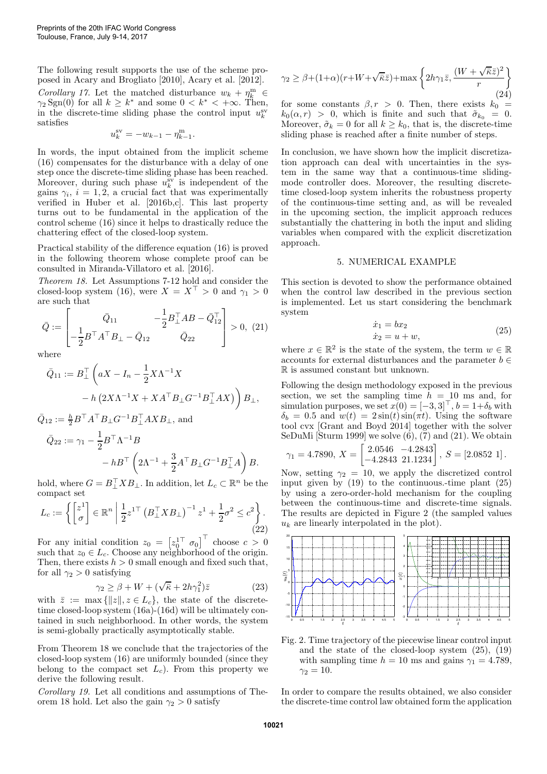The following result supports the use of the scheme proposed in Acary and Brogliato [2010], Acary et al. [2012]. Corollary 17. Let the matched disturbance  $w_k + \eta_k^m \in$  $\gamma_2$  Sgn(0) for all  $k \geq k^*$  and some  $0 \lt k^* \lt +\infty$ . Then, in the discrete-time sliding phase the control input  $u_k^{\text{sv}}$ satisfies

$$
u_k^{\text{sv}} = -w_{k-1} - \eta_{k-1}^{\text{m}}.
$$

In words, the input obtained from the implicit scheme (16) compensates for the disturbance with a delay of one step once the discrete-time sliding phase has been reached. Moreover, during such phase  $u_k^{\rm sv}$  is independent of the gains  $\gamma_i$ ,  $i = 1, 2$ , a crucial fact that was experimentally verified in Huber et al. [2016b,c]. This last property turns out to be fundamental in the application of the control scheme (16) since it helps to drastically reduce the chattering effect of the closed-loop system.

Practical stability of the difference equation (16) is proved in the following theorem whose complete proof can be consulted in Miranda-Villatoro et al. [2016].

Theorem 18. Let Assumptions 7-12 hold and consider the closed-loop system (16), were  $X = X^{\top} > 0$  and  $\gamma_1 > 0$ are such that

$$
\bar{Q} := \begin{bmatrix} \bar{Q}_{11} & -\frac{1}{2} B_{\perp}^{\top} A B - \bar{Q}_{12}^{\top} \\ -\frac{1}{2} B^{\top} A^{\top} B_{\perp} - \bar{Q}_{12} & \bar{Q}_{22} \end{bmatrix} > 0, (21)
$$

where

$$
\bar{Q}_{11} := B_{\perp}^{\top} \left( aX - I_n - \frac{1}{2} X \Lambda^{-1} X - h \left( 2X \Lambda^{-1} X + X A^{\top} B_{\perp} G^{-1} B_{\perp}^{\top} A X \right) \right) B_{\perp},
$$

 $\bar{Q}_{12} := \frac{h}{2} B^\top A^\top B_\bot G^{-1} B_\bot^\top AXB_\bot$ , and

$$
\begin{aligned} \bar{Q}_{22} &:= \gamma_1 - \frac{1}{2} B^\top \Lambda^{-1} B \\ &- h B^\top \left( 2 \Lambda^{-1} + \frac{3}{2} A^\top B_\bot G^{-1} B_\bot^\top A \right) B. \end{aligned}
$$

hold, where  $G = B\_{\perp}^{\top}XB_{\perp}$ . In addition, let  $L_c \subset \mathbb{R}^n$  be the compact set

$$
L_c := \left\{ \begin{bmatrix} z^1 \\ \sigma \end{bmatrix} \in \mathbb{R}^n \; \middle| \; \frac{1}{2} z^{1\top} \left( B_{\perp}^{\top} X B_{\perp} \right)^{-1} z^1 + \frac{1}{2} \sigma^2 \leq c^2 \right\}.
$$
\n
$$
(22)
$$

For any initial condition  $z_0 = \begin{bmatrix} z_0^{1\top} & \sigma_0 \end{bmatrix}^{\top}$  choose  $c > 0$ such that  $z_0 \in L_c$ . Choose any neighborhood of the origin. Then, there exists  $h > 0$  small enough and fixed such that, for all  $\gamma_2 > 0$  satisfying

$$
\gamma_2 \ge \beta + W + (\sqrt{\overline{\kappa}} + 2h\gamma_1^2)\overline{z}
$$
 (23)

with  $\bar{z} := \max\{|z|, z \in L_c\}$ , the state of the discretetime closed-loop system (16a)-(16d) will be ultimately contained in such neighborhood. In other words, the system is semi-globally practically asymptotically stable.

From Theorem 18 we conclude that the trajectories of the closed-loop system (16) are uniformly bounded (since they belong to the compact set  $L_c$ ). From this property we derive the following result.

Corollary 19. Let all conditions and assumptions of Theorem 18 hold. Let also the gain  $\gamma_2 > 0$  satisfy

$$
\gamma_2 \ge \beta + (1+\alpha)(r+W+\sqrt{\overline{\kappa}}\overline{z}) + \max\left\{2h\gamma_1\overline{z}, \frac{(W+\sqrt{\overline{\kappa}}\overline{z})^2}{r}\right\}
$$
(24)

for some constants  $\beta, r > 0$ . Then, there exists  $k_0 =$  $k_0(\alpha, r) > 0$ , which is finite and such that  $\tilde{\sigma}_{k_0} = 0$ . Moreover,  $\tilde{\sigma}_k = 0$  for all  $k \geq k_0$ , that is, the discrete-time sliding phase is reached after a finite number of steps.

In conclusion, we have shown how the implicit discretization approach can deal with uncertainties in the system in the same way that a continuous-time slidingmode controller does. Moreover, the resulting discretetime closed-loop system inherits the robustness property of the continuous-time setting and, as will be revealed in the upcoming section, the implicit approach reduces substantially the chattering in both the input and sliding variables when compared with the explicit discretization approach.

#### 5. NUMERICAL EXAMPLE

This section is devoted to show the performance obtained when the control law described in the previous section is implemented. Let us start considering the benchmark system

$$
\begin{aligned}\n\dot{x}_1 &= bx_2\\ \n\dot{x}_2 &= u + w,\n\end{aligned} \tag{25}
$$

where  $x \in \mathbb{R}^2$  is the state of the system, the term  $w \in \mathbb{R}$ accounts for external disturbances and the parameter  $b \in$ R is assumed constant but unknown.

Following the design methodology exposed in the previous section, we set the sampling time  $h = 10$  ms and, for simulation purposes, we set  $x(0) = [-3, 3]^T$ ,  $b = 1+\delta_b$  with  $\delta_b = 0.5$  and  $w(t) = 2 \sin(t) \sin(\pi t)$ . Using the software tool cvx [Grant and Boyd 2014] together with the solver SeDuMi [Sturm 1999] we solve (6), (7) and (21). We obtain

$$
\gamma_1 = 4.7890, \ X = \begin{bmatrix} 2.0546 & -4.2843 \\ -4.2843 & 21.1234 \end{bmatrix}, \ S = [2.0852 \ 1].
$$

Now, setting  $\gamma_2 = 10$ , we apply the discretized control input given by (19) to the continuous.-time plant (25) by using a zero-order-hold mechanism for the coupling between the continuous-time and discrete-time signals. The results are depicted in Figure 2 (the sampled values  $u_k$  are linearly interpolated in the plot).



Fig. 2. Time trajectory of the piecewise linear control input and the state of the closed-loop system (25), (19) with sampling time  $h = 10$  ms and gains  $\gamma_1 = 4.789$ ,  $\gamma_2 = 10$ .

In order to compare the results obtained, we also consider the discrete-time control law obtained form the application